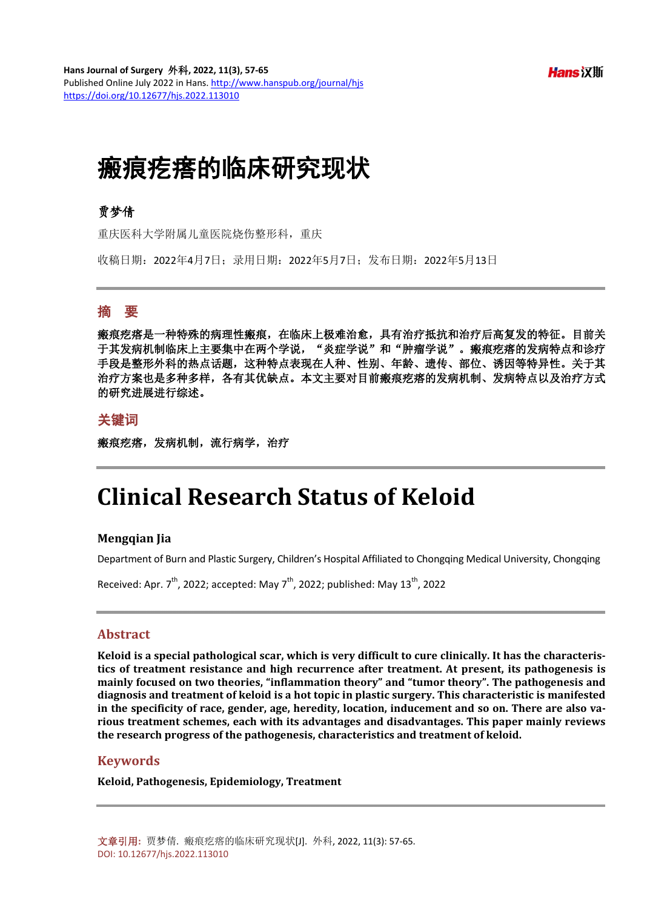$Hans$   $\overline{X}$  if  $\Pi$ 

# 瘢痕疙瘩的临床研究现状

## 贾梦倩

重庆医科大学附属儿童医院烧伤整形科,重庆

收稿日期:2022年4月7日;录用日期:2022年5月7日;发布日期:2022年5月13日

## 摘 要

瘢痕疙瘩是一种特殊的病理性瘢痕,在临床上极难治愈,具有治疗抵抗和治疗后高复发的特征。目前关 于其发病机制临床上主要集中在两个学说, "炎症学说"和"肿瘤学说"。瘢痕疙瘩的发病特点和诊疗 手段是整形外科的热点话题,这种特点表现在人种、性别、年龄、遗传、部位、诱因等特异性。关于其 治疗方案也是多种多样,各有其优缺点。本文主要对目前瘢痕疙瘩的发病机制、发病特点以及治疗方式 的研究进展进行综述。

## 关键词

瘢痕疙瘩,发病机制,流行病学,治疗

## **Clinical Research Status of Keloid**

#### **Mengqian Jia**

Department of Burn and Plastic Surgery, Children's Hospital Affiliated to Chongqing Medical University, Chongqing

Received: Apr. 7<sup>th</sup>, 2022; accepted: May 7<sup>th</sup>, 2022; published: May 13<sup>th</sup>, 2022

#### **Abstract**

**Keloid is a special pathological scar, which is very difficult to cure clinically. It has the characteristics of treatment resistance and high recurrence after treatment. At present, its pathogenesis is mainly focused on two theories, "inflammation theory" and "tumor theory". The pathogenesis and diagnosis and treatment of keloid is a hot topic in plastic surgery. This characteristic is manifested in the specificity of race, gender, age, heredity, location, inducement and so on. There are also various treatment schemes, each with its advantages and disadvantages. This paper mainly reviews the research progress of the pathogenesis, characteristics and treatment of keloid.**

#### **Keywords**

**Keloid, Pathogenesis, Epidemiology, Treatment**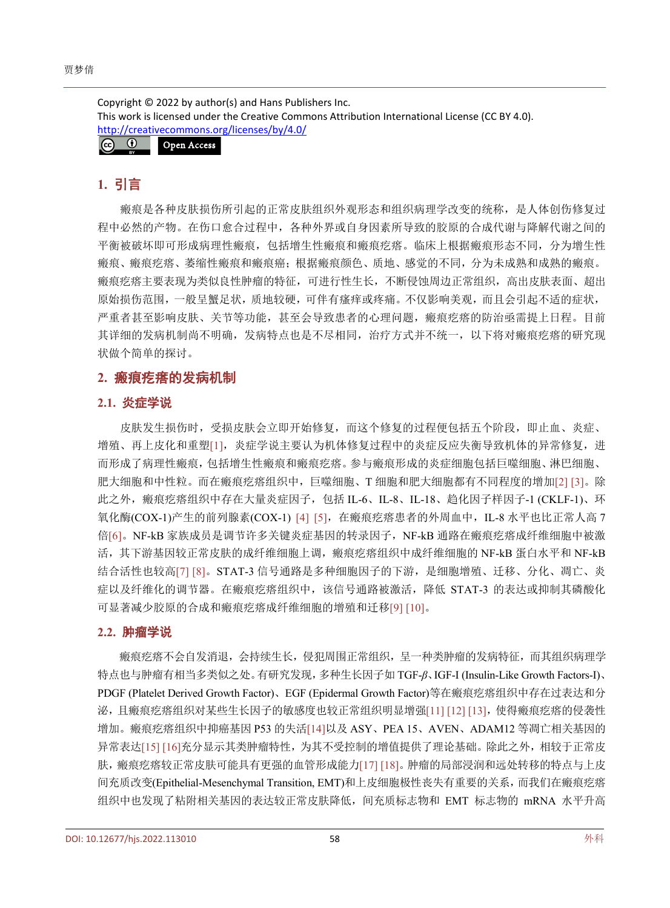Copyright © 2022 by author(s) and Hans Publishers Inc. This work is licensed under the Creative Commons Attribution International License (CC BY 4.0). <http://creativecommons.org/licenses/by/4.0/>



## **1.** 引言

瘢痕是各种皮肤损伤所引起的正常皮肤组织外观形态和组织病理学改变的统称,是人体创伤修复过 程中必然的产物。在伤口愈合过程中,各种外界或自身因素所导致的胶原的合成代谢与降解代谢之间的 平衡被破坏即可形成病理性瘢痕,包括增生性瘢痕和瘢痕疙瘩。临床上根据瘢痕形态不同,分为增生性 瘢痕、瘢痕疙瘩、萎缩性瘢痕和瘢痕癌;根据瘢痕颜色、质地、感觉的不同,分为未成熟和成熟的瘢痕。 瘢痕疙瘩主要表现为类似良性肿瘤的特征,可进行性生长,不断侵蚀周边正常组织,高出皮肤表面、超出 原始损伤范围,一般呈蟹足状,质地较硬,可伴有瘙痒或疼痛。不仅影响美观,而且会引起不适的症状, 严重者甚至影响皮肤、关节等功能,甚至会导致患者的心理问题,瘢痕疙瘩的防治亟需提上日程。目前 其详细的发病机制尚不明确,发病特点也是不尽相同,治疗方式并不统一,以下将对瘢痕疙瘩的研究现 状做个简单的探讨。

## **2.** 瘢痕疙瘩的发病机制

#### **2.1.** 炎症学说

皮肤发生损伤时,受损皮肤会立即开始修复,而这个修复的过程便包括五个阶段,即止血、炎症、 增殖、再上皮化和重塑[\[1\]](#page-5-0),炎症学说主要认为机体修复过程中的炎症反应失衡导致机体的异常修复,进 而形成了病理性瘢痕,包括增生性瘢痕和瘢痕疙瘩。参与瘢痕形成的炎症细胞包括巨噬细胞、淋巴细胞、 肥大细胞和中性粒。而在瘢痕疙瘩组织中,巨噬细胞、T 细胞和肥大细胞都有不同程度的增加[\[2\]](#page-5-1) [\[3\]](#page-5-2)。除 此之外,瘢痕疙瘩组织中存在大量炎症因子,包括 IL-6、IL-8、IL-18、趋化因子样因子-1 (CKLF-1)、环 氧化酶(COX-1)产生的前列腺素(COX-1) [\[4\]](#page-5-3) [\[5\]](#page-5-4), 在瘢痕疙瘩患者的外周血中, IL-8 水平也比正常人高 7 倍[\[6\]](#page-5-5)。NF-kB 家族成员是调节许多关键炎症基因的转录因子,NF-kB 通路在瘢痕疙瘩成纤维细胞中被激 活,其下游基因较正常皮肤的成纤维细胞上调,瘢痕疙瘩组织中成纤维细胞的 NF-kB 蛋白水平和 NF-kB 结合活性也较高[\[7\]](#page-5-6) [\[8\]](#page-5-7)。STAT-3 信号通路是多种细胞因子的下游,是细胞增殖、迁移、分化、凋亡、炎 症以及纤维化的调节器。在瘢痕疙瘩组织中,该信号通路被激活,降低 STAT-3 的表达或抑制其磷酸化 可显著减少胶原的合成和瘢痕疙瘩成纤维细胞的增殖和迁移[\[9\]](#page-5-8) [\[10\]](#page-5-9)。

#### **2.2.** 肿瘤学说

瘢痕疙瘩不会自发消退,会持续生长,侵犯周围正常组织,呈一种类肿瘤的发病特征,而其组织病理学 特点也与肿瘤有相当多类似之处。有研究发现,多种生长因子如 TGF-*β*、IGF-I (Insulin-Like Growth Factors-I)、 PDGF (Platelet Derived Growth Factor)、EGF (Epidermal Growth Factor)等在瘢痕疙瘩组织中存在过表达和分 泌,且瘢痕疙瘩组织对某些生长因子的敏感度也较正常组织明显增强[\[11\]](#page-5-10) [\[12\]](#page-5-11) [\[13\]](#page-6-0),使得瘢痕疙瘩的侵袭性 增加。瘢痕疙瘩组织中抑癌基因 P53 的失活[\[14\]](#page-6-1)以及 ASY、PEA 15、AVEN、ADAM12 等凋亡相关基因的 异常表达[\[15\]](#page-6-2) [\[16\]](#page-6-3)充分显示其类肿瘤特性,为其不受控制的增值提供了理论基础。除此之外,相较于正常皮 肤,瘢痕疙瘩较正常皮肤可能具有更强的血管形成能力[\[17\]](#page-6-4) [\[18\]](#page-6-5)。肿瘤的局部浸润和远处转移的特点与上皮 间充质改变(Epithelial-Mesenchymal Transition, EMT)和上皮细胞极性丧失有重要的关系,而我们在瘢痕疙瘩 组织中也发现了粘附相关基因的表达较正常皮肤降低,间充质标志物和 EMT 标志物的 mRNA 水平升高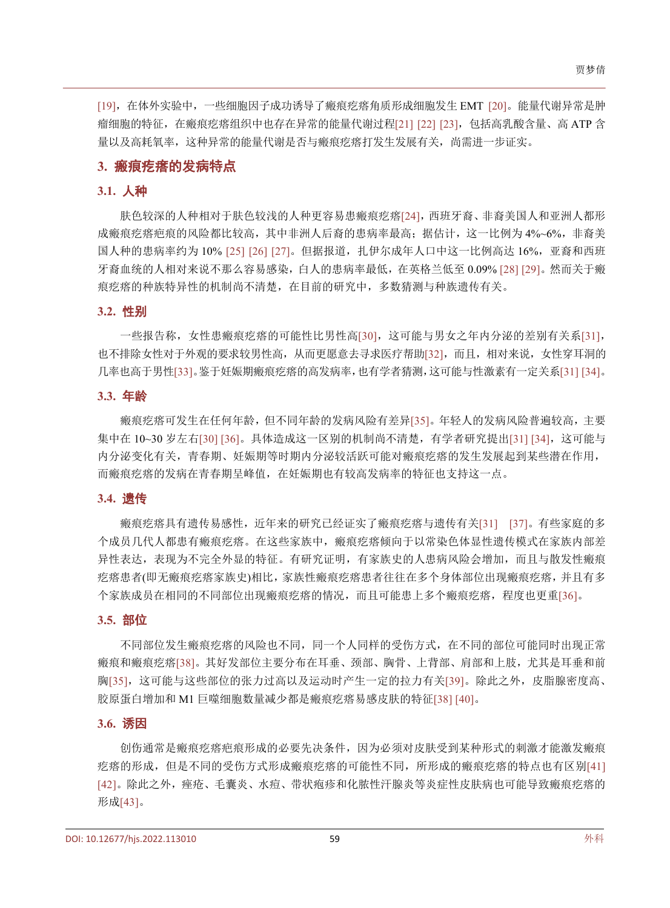[\[19\]](#page-6-6),在体外实验中,一些细胞因子成功诱导了瘢痕疙瘩角质形成细胞发生 EMT [\[20\]](#page-6-7)。能量代谢异常是肿 瘤细胞的特征,在瘢痕疙瘩组织中也存在异常的能量代谢过程[\[21\]](#page-6-8) [\[22\]](#page-6-9) [\[23\]](#page-6-10),包括高乳酸含量、高 ATP 含 量以及高耗氧率,这种异常的能量代谢是否与瘢痕疙瘩打发生发展有关,尚需进一步证实。

#### **3.** 瘢痕疙瘩的发病特点

#### **3.1.** 人种

肤色较深的人种相对于肤色较浅的人种更容易患瘢痕疙瘩[\[24\]](#page-6-11),西班牙裔、非裔美国人和亚洲人都形 成瘢痕疙瘩疤痕的风险都比较高,其中非洲人后裔的患病率最高;据估计,这一比例为 4%~6%, 非裔美 国人种的患病率约为 10% [\[25\]](#page-6-12) [\[26\]](#page-6-13) [\[27\]](#page-6-14)。但据报道,扎伊尔成年人口中这一比例高达 16%,亚裔和西班 牙裔血统的人相对来说不那么容易感染,白人的患病率最低,在英格兰低至 0.09% [\[28\]](#page-6-15) [\[29\]](#page-6-16)。然而关于瘢 痕疙瘩的种族特异性的机制尚不清楚,在目前的研究中,多数猜测与种族遗传有关。

#### **3.2.** 性别

一些报告称,女性患瘢痕疙瘩的可能性比男性高[\[30\]](#page-6-17),这可能与男女之年内分泌的差别有关系[\[31\]](#page-6-18), 也不排除女性对于外观的要求较男性高,从而更愿意去寻求医疗帮助[\[32\]](#page-6-19),而且,相对来说,女性穿耳洞的 几率也高于男性[\[33\]](#page-6-20)。鉴于妊娠期瘢痕疙瘩的高发病率,也有学者猜测,这可能与性激素有一定关系[\[31\]](#page-6-18) [\[34\]](#page-6-21)。

#### **3.3.** 年龄

瘢痕疙瘩可发生在任何年龄,但不同年龄的发病风险有差异[\[35\]](#page-6-22)。年轻人的发病风险普遍较高,主要 集中在 10~30 岁左右[\[30\]](#page-6-17) [\[36\]](#page-6-23)。具体造成这一区别的机制尚不清楚,有学者研究提出[\[31\]](#page-6-18) [\[34\]](#page-6-21), 这可能与 内分泌变化有关,青春期、妊娠期等时期内分泌较活跃可能对瘢痕疙瘩的发生发展起到某些潜在作用, 而瘢痕疙瘩的发病在青春期呈峰值,在妊娠期也有较高发病率的特征也支持这一点。

#### **3.4.** 遗传

瘢痕疙瘩具有遗传易感性,近年来的研究已经证实了瘢痕疙瘩与遗传有关[\[31\]](#page-6-18) [\[37\]](#page-7-0)。有些家庭的多 个成员几代人都患有瘢痕疙瘩。在这些家族中,瘢痕疙瘩倾向于以常染色体显性遗传模式在家族内部差 异性表达,表现为不完全外显的特征。有研究证明,有家族史的人患病风险会增加,而且与散发性瘢痕 疙瘩患者(即无瘢痕疙瘩家族史)相比,家族性瘢痕疙瘩患者往往在多个身体部位出现瘢痕疙瘩,并且有多 个家族成员在相同的不同部位出现瘢痕疙瘩的情况,而且可能患上多个瘢痕疙瘩,程度也更重[\[36\]](#page-6-23)。

#### **3.5.** 部位

不同部位发生瘢痕疙瘩的风险也不同,同一个人同样的受伤方式,在不同的部位可能同时出现正常 瘢痕和瘢痕疙瘩[\[38\]](#page-7-1)。其好发部位主要分布在耳垂、颈部、胸骨、上背部、肩部和上肢,尤其是耳垂和前 胸[\[35\]](#page-6-22),这可能与这些部位的张力过高以及运动时产生一定的拉力有关[\[39\]](#page-7-2)。除此之外,皮脂腺密度高、 胶原蛋白增加和 M1 巨噬细胞数量减少都是瘢痕疙瘩易感皮肤的特征[\[38\]](#page-7-1) [\[40\]](#page-7-3)。

#### **3.6.** 诱因

创伤通常是瘢痕疙瘩疤痕形成的必要先决条件,因为必须对皮肤受到某种形式的刺激才能激发瘢痕 疙瘩的形成,但是不同的受伤方式形成瘢痕疙瘩的可能性不同,所形成的瘢痕疙瘩的特点也有区别[\[41\]](#page-7-4) [42]。除此之外,痤疮、毛囊炎、水痘、带状疱疹和化脓性汗腺炎等炎症性皮肤病也可能导致瘢痕疙瘩的 形成[43]。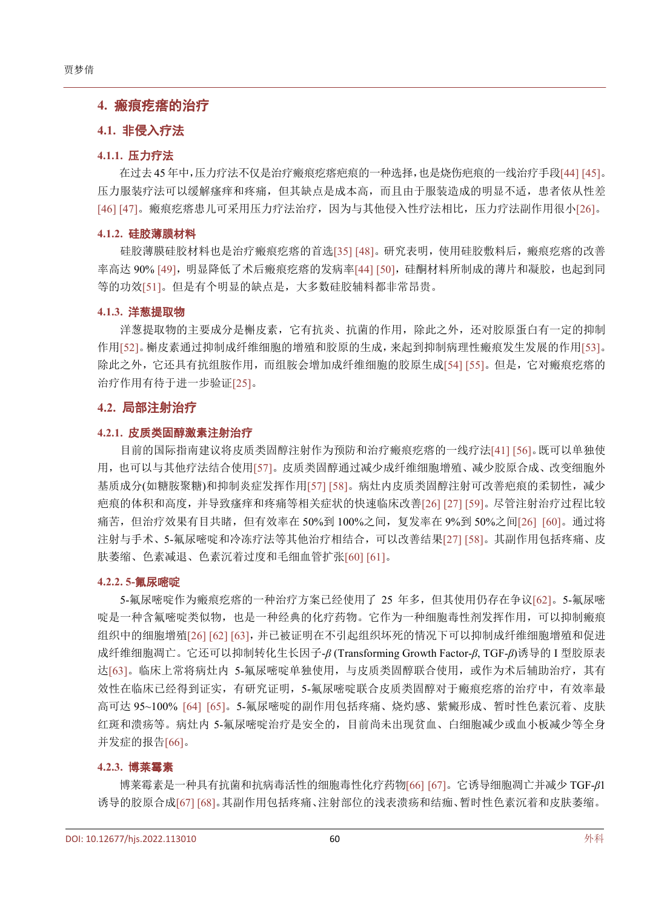### **4.** 瘢痕疙瘩的治疗

#### **4.1.** 非侵入疗法

#### **4.1.1.** 压力疗法

在过去 45 年中,压力疗法不仅是治疗瘢痕疙瘩疤痕的一种选择,也是烧伤疤痕的一线治疗手段[44] [45]。 压力服装疗法可以缓解瘙痒和疼痛,但其缺点是成本高,而且由于服装造成的明显不适,患者依从性差 [46] [47]。瘢痕疙瘩患儿可采用压力疗法治疗,因为与其他侵入性疗法相比,压力疗法副作用很小[\[26\]](#page-6-13)。

#### **4.1.2.** 硅胶薄膜材料

硅胶薄膜硅胶材料也是治疗瘢痕疙瘩的首选[\[35\]](#page-6-22) [48]。研究表明,使用硅胶敷料后,瘢痕疙瘩的改善 率高达 90% [49],明显降低了术后瘢痕疙瘩的发病率[\[44\]](#page-7-5) [50],硅酮材料所制成的薄片和凝胶,也起到同 等的功效[\[51\]](#page-7-6)。但是有个明显的缺点是,大多数硅胶辅料都非常昂贵。

#### **4.1.3.** 洋葱提取物

洋葱提取物的主要成分是槲皮素,它有抗炎、抗菌的作用,除此之外,还对胶原蛋白有一定的抑制 作用[\[52\]](#page-7-7)。槲皮素通过抑制成纤维细胞的增殖和胶原的生成,来起到抑制病理性瘢痕发生发展的作用[\[53\]](#page-7-8)。 除此之外,它还具有抗组胺作用,而组胺会增加成纤维细胞的胶原生成[\[54\]](#page-7-9) [\[55\]](#page-7-10)。但是,它对瘢痕疙瘩的 治疗作用有待于进一步验证[\[25\]](#page-6-12)。

#### **4.2.** 局部注射治疗

#### **4.2.1.** 皮质类固醇激素注射治疗

目前的国际指南建议将皮质类固醇注射作为预防和治疗瘢痕疙瘩的一线疗法[\[41\]](#page-7-4) [\[56\]](#page-7-11)。既可以单独使 用,也可以与其他疗法结合使用[\[57\]](#page-7-12)。皮质类固醇通过减少成纤维细胞增殖、减少胶原合成、改变细胞外 基质成分(如糖胺聚糖)和抑制炎症发挥作用[\[57\]](#page-7-12) [\[58\]](#page-7-13)。病灶内皮质类固醇注射可改善疤痕的柔韧性,减少 疤痕的体积和高度,并导致瘙痒和疼痛等相关症状的快速临床改善[\[26\]](#page-6-13) [\[27\]](#page-6-14) [\[59\]](#page-7-14)。尽管注射治疗过程比较 痛苦,但治疗效果有目共睹,但有效率在 50%到 100%之间,复发率在 9%到 50%之间[\[26\]](#page-6-13) [\[60\]](#page-7-15)。通过将 注射与手术、5-氟尿嘧啶和冷冻疗法等其他治疗相结合,可以改善结果[\[27\]](#page-6-14) [\[58\]](#page-7-13)。其副作用包括疼痛、皮 肤萎缩、色素减退、色素沉着过度和毛细血管扩张[\[60\]](#page-7-15) [\[61\]](#page-8-0)。

#### **4.2.2. 5-**氟尿嘧啶

5-氟尿嘧啶作为瘢痕疙瘩的一种治疗方案已经使用了 25 年多,但其使用仍存在争议[\[62\]](#page-8-1)。5-氟尿嘧 啶是一种含氟嘧啶类似物,也是一种经典的化疗药物。它作为一种细胞毒性剂发挥作用,可以抑制瘢痕 组织中的细胞增殖[\[26\]](#page-6-13) [\[62\]](#page-8-1) [\[63\]](#page-8-2),并已被证明在不引起组织坏死的情况下可以抑制成纤维细胞增殖和促进 成纤维细胞凋亡。它还可以抑制转化生长因子-*β* (Transforming Growth Factor-*β*, TGF-*β*)诱导的 I 型胶原表 达[\[63\]](#page-8-2)。临床上常将病灶内 5-氟尿嘧啶单独使用,与皮质类固醇联合使用,或作为术后辅助治疗,其有 效性在临床已经得到证实,有研究证明,5-氟尿嘧啶联合皮质类固醇对于瘢痕疙瘩的治疗中,有效率最 高可达 95~100% [\[64\]](#page-8-3) [\[65\]](#page-8-4)。5-氟尿嘧啶的副作用包括疼痛、烧灼感、紫癜形成、暂时性色素沉着、皮肤 红斑和溃疡等。病灶内 5-氟尿嘧啶治疗是安全的,目前尚未出现贫血、白细胞减少或血小板减少等全身 并发症的报告[\[66\]](#page-8-5)。

#### **4.2.3.** 博莱霉素

博莱霉素是一种具有抗菌和抗病毒活性的细胞毒性化疗药物[\[66\]](#page-8-5) [\[67\]](#page-8-6)。它诱导细胞凋亡并减少 TGF-*β*1 诱导的胶原合成[\[67\]](#page-8-6) [\[68\]](#page-8-7)。其副作用包括疼痛、注射部位的浅表溃疡和结痂、暂时性色素沉着和皮肤萎缩。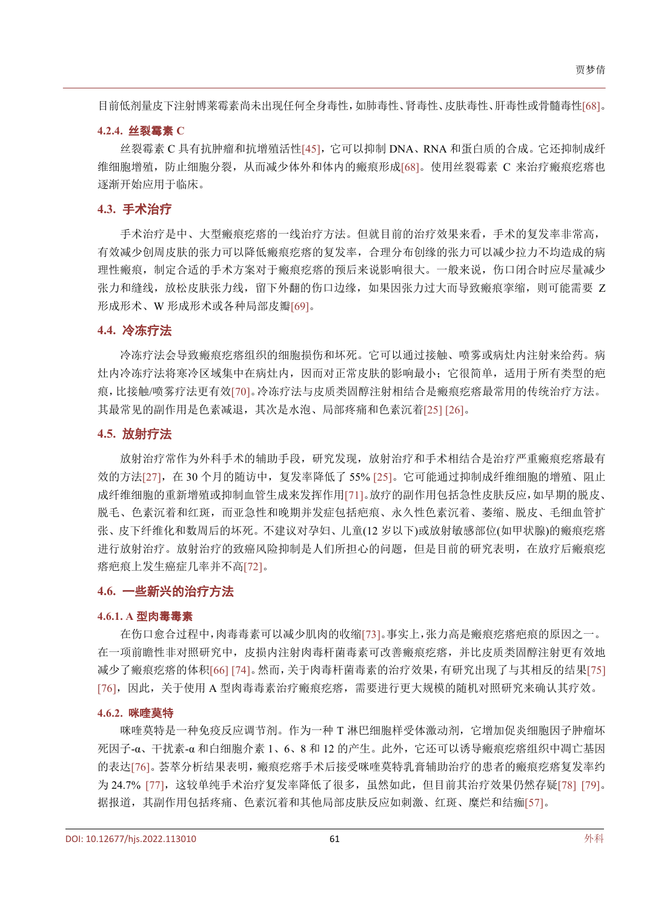目前低剂量皮下注射博莱霉素尚未出现任何全身毒性,如肺毒性、肾毒性、皮肤毒性、肝毒性或骨髓毒性[\[68\]](#page-8-7)。

#### **4.2.4.** 丝裂霉素 **C**

丝裂霉素 C 具有抗肿瘤和抗增殖活性[\[45\]](#page-7-16), 它可以抑制 DNA、RNA 和蛋白质的合成。它还抑制成纤 维细胞增殖,防止细胞分裂,从而减少体外和体内的瘢痕形成[\[68\]](#page-8-7)。使用丝裂霉素 C 来治疗瘢痕疙瘩也 逐渐开始应用于临床。

#### **4.3.** 手术治疗

手术治疗是中、大型瘢痕疙瘩的一线治疗方法。但就目前的治疗效果来看,手术的复发率非常高, 有效减少创周皮肤的张力可以降低瘢痕疙瘩的复发率,合理分布创缘的张力可以减少拉力不均造成的病 理性瘢痕,制定合适的手术方案对于瘢痕疙瘩的预后来说影响很大。一般来说,伤口闭合时应尽量减少 张力和缝线,放松皮肤张力线,留下外翻的伤口边缘,如果因张力过大而导致瘢痕挛缩,则可能需要 Z 形成形术、W 形成形术或各种局部皮瓣[\[69\]](#page-8-8)。

#### **4.4.** 冷冻疗法

冷冻疗法会导致瘢痕疙瘩组织的细胞损伤和坏死。它可以通过接触、喷雾或病灶内注射来给药。病 灶内冷冻疗法将寒冷区域集中在病灶内,因而对正常皮肤的影响最小;它很简单,适用于所有类型的疤 痕,比接触/喷雾疗法更有效[\[70\]](#page-8-9)。冷冻疗法与皮质类固醇注射相结合是瘢痕疙瘩最常用的传统治疗方法。 其最常见的副作用是色素减退,其次是水泡、局部疼痛和色素沉着[\[25\]](#page-6-12) [\[26\]](#page-6-13)。

#### **4.5.** 放射疗法

放射治疗常作为外科手术的辅助手段,研究发现,放射治疗和手术相结合是治疗严重瘢痕疙瘩最有 效的方法[\[27\]](#page-6-14), 在 30 个月的随访中, 复发率降低了 55% [\[25\]](#page-6-12)。它可能通过抑制成纤维细胞的增殖、阻止 成纤维细胞的重新增殖或抑制血管生成来发挥作用[\[71\]](#page-8-10)。放疗的副作用包括急性皮肤反应,如早期的脱皮、 脱毛、色素沉着和红斑,而亚急性和晚期并发症包括疤痕、永久性色素沉着、萎缩、脱皮、毛细血管扩 张、皮下纤维化和数周后的坏死。不建议对孕妇、儿童(12 岁以下)或放射敏感部位(如甲状腺)的瘢痕疙瘩 进行放射治疗。放射治疗的致癌风险抑制是人们所担心的问题,但是目前的研究表明,在放疗后瘢痕疙 瘩疤痕上发生癌症几率并不高[\[72\]](#page-8-11)。

#### **4.6.** 一些新兴的治疗方法

#### **4.6.1. A** 型肉毒毒素

在伤口愈合过程中,肉毒毒素可以减少肌肉的收缩[\[73\]](#page-8-12)。事实上,张力高是瘢痕疙瘩疤痕的原因之一。 在一项前瞻性非对照研究中,皮损内注射肉毒杆菌毒素可改善瘢痕疙瘩,并比皮质类固醇注射更有效地 减少了瘢痕疙瘩的体积[\[66\]](#page-8-5) [\[74\]](#page-8-13)。然而,关于肉毒杆菌毒素的治疗效果,有研究出现了与其相反的结果[\[75\]](#page-8-14) [\[76\]](#page-8-15), 因此, 关于使用 A 型肉毒毒素治疗瘢痕疙瘩, 需要进行更大规模的随机对照研究来确认其疗效。

#### **4.6.2.** 咪喹莫特

咪喹莫特是一种免疫反应调节剂。作为一种 T 淋巴细胞样受体激动剂,它增加促炎细胞因子肿瘤坏  $E$ 因子-α、干扰素-α 和白细胞介素 1、6、8 和 12 的产生。此外,它还可以诱导瘢痕疙瘩组织中凋亡基因 的表达[\[76\]](#page-8-15)。荟萃分析结果表明,瘢痕疙瘩手术后接受咪喹莫特乳膏辅助治疗的患者的瘢痕疙瘩复发率约 为 24.7% [\[77\]](#page-8-16), 这较单纯手术治疗复发率降低了很多, 虽然如此, 但目前其治疗效果仍然存疑[\[78\]](#page-8-17) [\[79\]](#page-8-18)。 据报道,其副作用包括疼痛、色素沉着和其他局部皮肤反应如刺激、红斑、糜烂和结痂[\[57\]](#page-7-12)。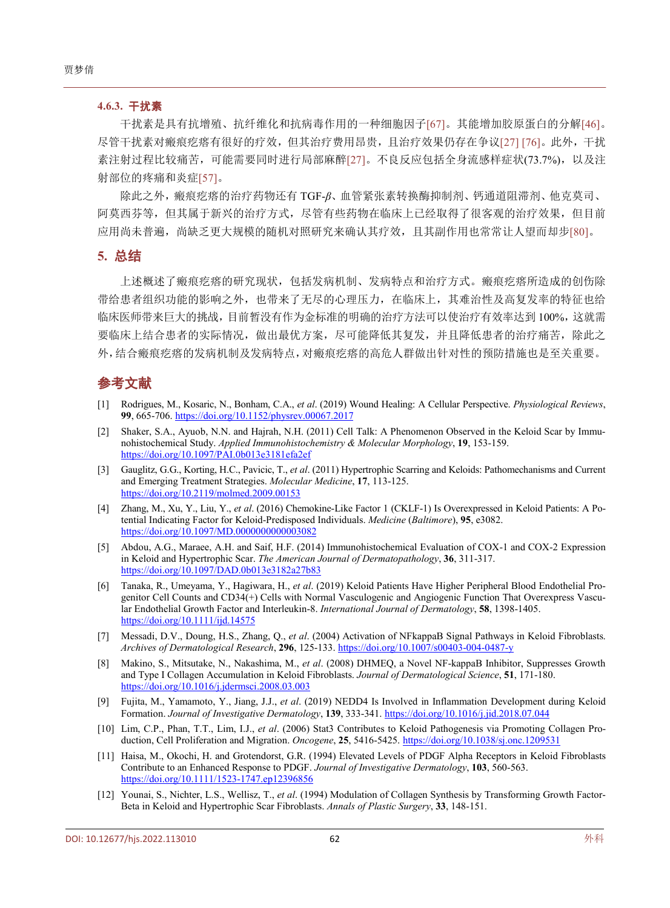#### **4.6.3.** 干扰素

干扰素是具有抗增殖、抗纤维化和抗病毒作用的一种细胞因子[\[67\]](#page-8-6)。其能增加胶原蛋白的分解[\[46\]](#page-7-17)。 尽管干扰素对瘢痕疙瘩有很好的疗效,但其治疗费用昂贵,且治疗效果仍存在争议[\[27\]](#page-6-14) [\[76\]](#page-8-15)。此外,干扰 素注射过程比较痛苦,可能需要同时进行局部麻醉[\[27\]](#page-6-14)。不良反应包括全身流感样症状(73.7%),以及注 射部位的疼痛和炎症[\[57\]](#page-7-12)。

除此之外,瘢痕疙瘩的治疗药物还有 TGF-*β*、血管紧张素转换酶抑制剂、钙通道阻滞剂、他克莫司、 阿莫西芬等,但其属于新兴的治疗方式,尽管有些药物在临床上已经取得了很客观的治疗效果,但目前 应用尚未普遍,尚缺乏更大规模的随机对照研究来确认其疗效,且其副作用也常常让人望而却步[\[80\]](#page-8-19)。

#### **5.** 总结

上述概述了瘢痕疙瘩的研究现状,包括发病机制、发病特点和治疗方式。瘢痕疙瘩所造成的创伤除 带给患者组织功能的影响之外,也带来了无尽的心理压力,在临床上,其难治性及高复发率的特征也给 临床医师带来巨大的挑战,目前暂没有作为金标准的明确的治疗方法可以使治疗有效率达到 100%,这就需 要临床上结合患者的实际情况,做出最优方案,尽可能降低其复发,并且降低患者的治疗痛苦,除此之 外,结合瘢痕疙瘩的发病机制及发病特点,对瘢痕疙瘩的高危人群做出针对性的预防措施也是至关重要。

## 参考文献

- <span id="page-5-0"></span>[1] Rodrigues, M., Kosaric, N., Bonham, C.A., *et al*. (2019) Wound Healing: A Cellular Perspective. *Physiological Reviews*, **99**, 665-706. <https://doi.org/10.1152/physrev.00067.2017>
- <span id="page-5-1"></span>[2] Shaker, S.A., Ayuob, N.N. and Hajrah, N.H. (2011) Cell Talk: A Phenomenon Observed in the Keloid Scar by Immunohistochemical Study. *Applied Immunohistochemistry & Molecular Morphology*, **19**, 153-159. <https://doi.org/10.1097/PAI.0b013e3181efa2ef>
- <span id="page-5-2"></span>[3] Gauglitz, G.G., Korting, H.C., Pavicic, T., *et al*. (2011) Hypertrophic Scarring and Keloids: Pathomechanisms and Current and Emerging Treatment Strategies. *Molecular Medicine*, **17**, 113-125. <https://doi.org/10.2119/molmed.2009.00153>
- <span id="page-5-3"></span>[4] Zhang, M., Xu, Y., Liu, Y., *et al*. (2016) Chemokine-Like Factor 1 (CKLF-1) Is Overexpressed in Keloid Patients: A Potential Indicating Factor for Keloid-Predisposed Individuals. *Medicine* (*Baltimore*), **95**, e3082. <https://doi.org/10.1097/MD.0000000000003082>
- <span id="page-5-4"></span>[5] Abdou, A.G., Maraee, A.H. and Saif, H.F. (2014) Immunohistochemical Evaluation of COX-1 and COX-2 Expression in Keloid and Hypertrophic Scar. *The American Journal of Dermatopathology*, **36**, 311-317. <https://doi.org/10.1097/DAD.0b013e3182a27b83>
- <span id="page-5-5"></span>[6] Tanaka, R., Umeyama, Y., Hagiwara, H., *et al*. (2019) Keloid Patients Have Higher Peripheral Blood Endothelial Progenitor Cell Counts and CD34(+) Cells with Normal Vasculogenic and Angiogenic Function That Overexpress Vascular Endothelial Growth Factor and Interleukin-8. *International Journal of Dermatology*, **58**, 1398-1405. <https://doi.org/10.1111/ijd.14575>
- <span id="page-5-6"></span>[7] Messadi, D.V., Doung, H.S., Zhang, Q., *et al*. (2004) Activation of NFkappaB Signal Pathways in Keloid Fibroblasts. *Archives of Dermatological Research*, **296**, 125-133. <https://doi.org/10.1007/s00403-004-0487-y>
- <span id="page-5-7"></span>[8] Makino, S., Mitsutake, N., Nakashima, M., *et al*. (2008) DHMEQ, a Novel NF-kappaB Inhibitor, Suppresses Growth and Type I Collagen Accumulation in Keloid Fibroblasts. *Journal of Dermatological Science*, **51**, 171-180. <https://doi.org/10.1016/j.jdermsci.2008.03.003>
- <span id="page-5-8"></span>[9] Fujita, M., Yamamoto, Y., Jiang, J.J., *et al*. (2019) NEDD4 Is Involved in Inflammation Development during Keloid Formation. *Journal of Investigative Dermatology*, **139**, 333-341. <https://doi.org/10.1016/j.jid.2018.07.044>
- <span id="page-5-9"></span>[10] Lim, C.P., Phan, T.T., Lim, I.J., *et al*. (2006) Stat3 Contributes to Keloid Pathogenesis via Promoting Collagen Production, Cell Proliferation and Migration. *Oncogene*, **25**, 5416-5425. <https://doi.org/10.1038/sj.onc.1209531>
- <span id="page-5-10"></span>[11] Haisa, M., Okochi, H. and Grotendorst, G.R. (1994) Elevated Levels of PDGF Alpha Receptors in Keloid Fibroblasts Contribute to an Enhanced Response to PDGF. *Journal of Investigative Dermatology*, **103**, 560-563. <https://doi.org/10.1111/1523-1747.ep12396856>
- <span id="page-5-11"></span>[12] Younai, S., Nichter, L.S., Wellisz, T., *et al*. (1994) Modulation of Collagen Synthesis by Transforming Growth Factor-Beta in Keloid and Hypertrophic Scar Fibroblasts. *Annals of Plastic Surgery*, **33**, 148-151.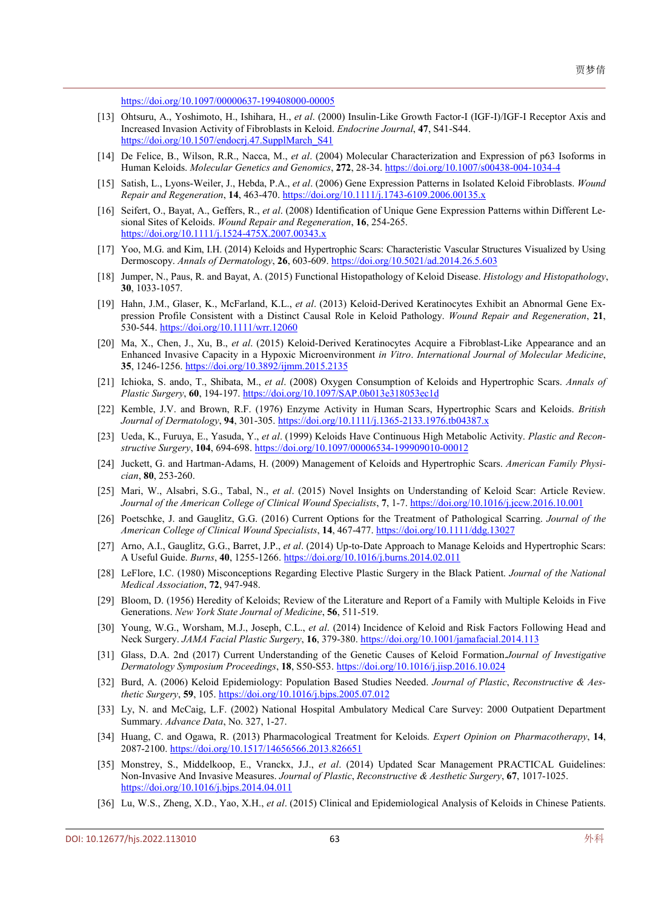<https://doi.org/10.1097/00000637-199408000-00005>

- <span id="page-6-0"></span>[13] Ohtsuru, A., Yoshimoto, H., Ishihara, H., *et al*. (2000) Insulin-Like Growth Factor-I (IGF-I)/IGF-I Receptor Axis and Increased Invasion Activity of Fibroblasts in Keloid. *Endocrine Journal*, **47**, S41-S44. [https://doi.org/10.1507/endocrj.47.SupplMarch\\_S41](https://doi.org/10.1507/endocrj.47.SupplMarch_S41)
- <span id="page-6-1"></span>[14] De Felice, B., Wilson, R.R., Nacca, M., *et al*. (2004) Molecular Characterization and Expression of p63 Isoforms in Human Keloids. *Molecular Genetics and Genomics*, **272**, 28-34. <https://doi.org/10.1007/s00438-004-1034-4>
- <span id="page-6-2"></span>[15] Satish, L., Lyons-Weiler, J., Hebda, P.A., *et al*. (2006) Gene Expression Patterns in Isolated Keloid Fibroblasts. *Wound Repair and Regeneration*, **14**, 463-470. <https://doi.org/10.1111/j.1743-6109.2006.00135.x>
- <span id="page-6-3"></span>[16] Seifert, O., Bayat, A., Geffers, R., *et al*. (2008) Identification of Unique Gene Expression Patterns within Different Lesional Sites of Keloids. *Wound Repair and Regeneration*, **16**, 254-265. <https://doi.org/10.1111/j.1524-475X.2007.00343.x>
- <span id="page-6-4"></span>[17] Yoo, M.G. and Kim, I.H. (2014) Keloids and Hypertrophic Scars: Characteristic Vascular Structures Visualized by Using Dermoscopy. *Annals of Dermatology*, **26**, 603-609. <https://doi.org/10.5021/ad.2014.26.5.603>
- <span id="page-6-5"></span>[18] Jumper, N., Paus, R. and Bayat, A. (2015) Functional Histopathology of Keloid Disease. *Histology and Histopathology*, **30**, 1033-1057.
- <span id="page-6-6"></span>[19] Hahn, J.M., Glaser, K., McFarland, K.L., *et al*. (2013) Keloid-Derived Keratinocytes Exhibit an Abnormal Gene Expression Profile Consistent with a Distinct Causal Role in Keloid Pathology. *Wound Repair and Regeneration*, **21**, 530-544. <https://doi.org/10.1111/wrr.12060>
- <span id="page-6-7"></span>[20] Ma, X., Chen, J., Xu, B., *et al*. (2015) Keloid-Derived Keratinocytes Acquire a Fibroblast-Like Appearance and an Enhanced Invasive Capacity in a Hypoxic Microenvironment *in Vitro*. *International Journal of Molecular Medicine*, **35**, 1246-1256. <https://doi.org/10.3892/ijmm.2015.2135>
- <span id="page-6-8"></span>[21] Ichioka, S. ando, T., Shibata, M., *et al*. (2008) Oxygen Consumption of Keloids and Hypertrophic Scars. *Annals of Plastic Surgery*, **60**, 194-197. <https://doi.org/10.1097/SAP.0b013e318053ec1d>
- <span id="page-6-9"></span>[22] Kemble, J.V. and Brown, R.F. (1976) Enzyme Activity in Human Scars, Hypertrophic Scars and Keloids. *British Journal of Dermatology*, **94**, 301-305. <https://doi.org/10.1111/j.1365-2133.1976.tb04387.x>
- <span id="page-6-10"></span>[23] Ueda, K., Furuya, E., Yasuda, Y., *et al*. (1999) Keloids Have Continuous High Metabolic Activity. *Plastic and Reconstructive Surgery*, **104**, 694-698. <https://doi.org/10.1097/00006534-199909010-00012>
- <span id="page-6-11"></span>[24] Juckett, G. and Hartman-Adams, H. (2009) Management of Keloids and Hypertrophic Scars. *American Family Physician*, **80**, 253-260.
- <span id="page-6-12"></span>[25] Mari, W., Alsabri, S.G., Tabal, N., *et al*. (2015) Novel Insights on Understanding of Keloid Scar: Article Review. *Journal of the American College of Clinical Wound Specialists*, **7**, 1-7. <https://doi.org/10.1016/j.jccw.2016.10.001>
- <span id="page-6-13"></span>[26] Poetschke, J. and Gauglitz, G.G. (2016) Current Options for the Treatment of Pathological Scarring. *Journal of the American College of Clinical Wound Specialists*, **14**, 467-477. <https://doi.org/10.1111/ddg.13027>
- <span id="page-6-14"></span>[27] Arno, A.I., Gauglitz, G.G., Barret, J.P., *et al*. (2014) Up-to-Date Approach to Manage Keloids and Hypertrophic Scars: A Useful Guide. *Burns*, **40**, 1255-1266. <https://doi.org/10.1016/j.burns.2014.02.011>
- <span id="page-6-15"></span>[28] LeFlore, I.C. (1980) Misconceptions Regarding Elective Plastic Surgery in the Black Patient. *Journal of the National Medical Association*, **72**, 947-948.
- <span id="page-6-16"></span>[29] Bloom, D. (1956) Heredity of Keloids; Review of the Literature and Report of a Family with Multiple Keloids in Five Generations. *New York State Journal of Medicine*, **56**, 511-519.
- <span id="page-6-17"></span>[30] Young, W.G., Worsham, M.J., Joseph, C.L., *et al*. (2014) Incidence of Keloid and Risk Factors Following Head and Neck Surgery. *JAMA Facial Plastic Surgery*, **16**, 379-380. <https://doi.org/10.1001/jamafacial.2014.113>
- <span id="page-6-18"></span>[31] Glass, D.A. 2nd (2017) Current Understanding of the Genetic Causes of Keloid Formation.*Journal of Investigative Dermatology Symposium Proceedings*, **18**, S50-S53. <https://doi.org/10.1016/j.jisp.2016.10.024>
- <span id="page-6-19"></span>[32] Burd, A. (2006) Keloid Epidemiology: Population Based Studies Needed. *Journal of Plastic*, *Reconstructive & Aesthetic Surgery*, **59**, 105. <https://doi.org/10.1016/j.bjps.2005.07.012>
- <span id="page-6-20"></span>[33] Ly, N. and McCaig, L.F. (2002) National Hospital Ambulatory Medical Care Survey: 2000 Outpatient Department Summary. *Advance Data*, No. 327, 1-27.
- <span id="page-6-21"></span>[34] Huang, C. and Ogawa, R. (2013) Pharmacological Treatment for Keloids. *Expert Opinion on Pharmacotherapy*, **14**, 2087-2100. <https://doi.org/10.1517/14656566.2013.826651>
- <span id="page-6-22"></span>[35] Monstrey, S., Middelkoop, E., Vranckx, J.J., *et al*. (2014) Updated Scar Management PRACTICAL Guidelines: Non-Invasive And Invasive Measures. *Journal of Plastic*, *Reconstructive & Aesthetic Surgery*, **67**, 1017-1025. <https://doi.org/10.1016/j.bjps.2014.04.011>
- <span id="page-6-23"></span>[36] Lu, W.S., Zheng, X.D., Yao, X.H., *et al*. (2015) Clinical and Epidemiological Analysis of Keloids in Chinese Patients.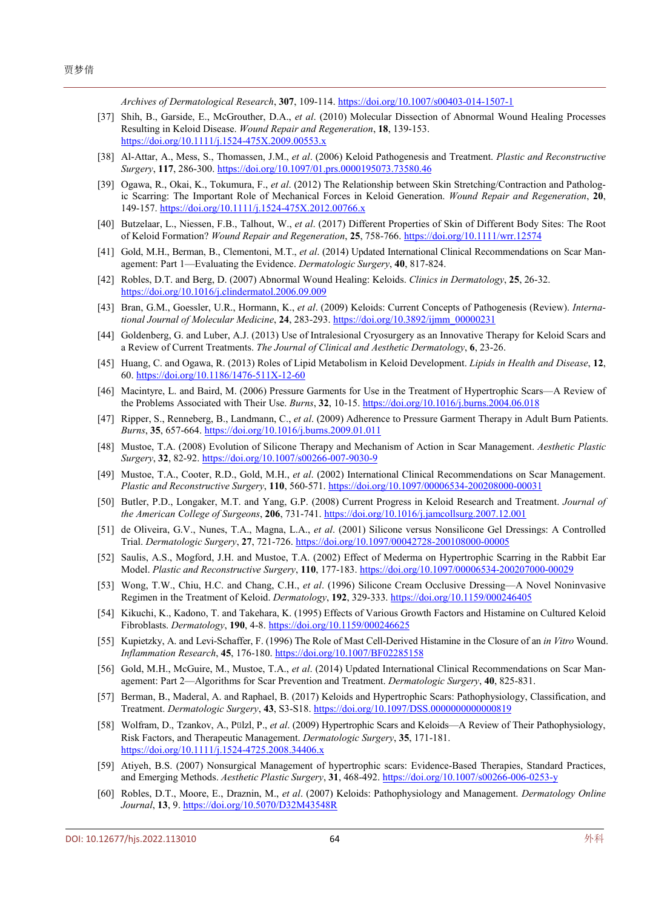*Archives of Dermatological Research*, **307**, 109-114. <https://doi.org/10.1007/s00403-014-1507-1>

- <span id="page-7-0"></span>[37] Shih, B., Garside, E., McGrouther, D.A., *et al*. (2010) Molecular Dissection of Abnormal Wound Healing Processes Resulting in Keloid Disease. *Wound Repair and Regeneration*, **18**, 139-153. <https://doi.org/10.1111/j.1524-475X.2009.00553.x>
- <span id="page-7-1"></span>[38] Al-Attar, A., Mess, S., Thomassen, J.M., *et al*. (2006) Keloid Pathogenesis and Treatment. *Plastic and Reconstructive Surgery*, **117**, 286-300. <https://doi.org/10.1097/01.prs.0000195073.73580.46>
- <span id="page-7-2"></span>[39] Ogawa, R., Okai, K., Tokumura, F., *et al*. (2012) The Relationship between Skin Stretching/Contraction and Pathologic Scarring: The Important Role of Mechanical Forces in Keloid Generation. *Wound Repair and Regeneration*, **20**, 149-157. <https://doi.org/10.1111/j.1524-475X.2012.00766.x>
- <span id="page-7-3"></span>[40] Butzelaar, L., Niessen, F.B., Talhout, W., *et al*. (2017) Different Properties of Skin of Different Body Sites: The Root of Keloid Formation? *Wound Repair and Regeneration*, **25**, 758-766. <https://doi.org/10.1111/wrr.12574>
- <span id="page-7-4"></span>[41] Gold, M.H., Berman, B., Clementoni, M.T., *et al*. (2014) Updated International Clinical Recommendations on Scar Management: Part 1—Evaluating the Evidence. *Dermatologic Surgery*, **40**, 817-824.
- [42] Robles, D.T. and Berg, D. (2007) Abnormal Wound Healing: Keloids. *Clinics in Dermatology*, **25**, 26-32. <https://doi.org/10.1016/j.clindermatol.2006.09.009>
- [43] Bran, G.M., Goessler, U.R., Hormann, K., *et al*. (2009) Keloids: Current Concepts of Pathogenesis (Review). *International Journal of Molecular Medicine*, **24**, 283-293. [https://doi.org/10.3892/ijmm\\_00000231](https://doi.org/10.3892/ijmm_00000231)
- <span id="page-7-5"></span>[44] Goldenberg, G. and Luber, A.J. (2013) Use of Intralesional Cryosurgery as an Innovative Therapy for Keloid Scars and a Review of Current Treatments. *The Journal of Clinical and Aesthetic Dermatology*, **6**, 23-26.
- <span id="page-7-16"></span>[45] Huang, C. and Ogawa, R. (2013) Roles of Lipid Metabolism in Keloid Development. *Lipids in Health and Disease*, **12**, 60. <https://doi.org/10.1186/1476-511X-12-60>
- <span id="page-7-17"></span>[46] Macintyre, L. and Baird, M. (2006) Pressure Garments for Use in the Treatment of Hypertrophic Scars—A Review of the Problems Associated with Their Use. *Burns*, **32**, 10-15. <https://doi.org/10.1016/j.burns.2004.06.018>
- [47] Ripper, S., Renneberg, B., Landmann, C., *et al*. (2009) Adherence to Pressure Garment Therapy in Adult Burn Patients. *Burns*, **35**, 657-664. <https://doi.org/10.1016/j.burns.2009.01.011>
- [48] Mustoe, T.A. (2008) Evolution of Silicone Therapy and Mechanism of Action in Scar Management. *Aesthetic Plastic Surgery*, **32**, 82-92. <https://doi.org/10.1007/s00266-007-9030-9>
- [49] Mustoe, T.A., Cooter, R.D., Gold, M.H., *et al*. (2002) International Clinical Recommendations on Scar Management. *Plastic and Reconstructive Surgery*, **110**, 560-571. <https://doi.org/10.1097/00006534-200208000-00031>
- [50] Butler, P.D., Longaker, M.T. and Yang, G.P. (2008) Current Progress in Keloid Research and Treatment. *Journal of the American College of Surgeons*, **206**, 731-741. <https://doi.org/10.1016/j.jamcollsurg.2007.12.001>
- <span id="page-7-6"></span>[51] de Oliveira, G.V., Nunes, T.A., Magna, L.A., *et al*. (2001) Silicone versus Nonsilicone Gel Dressings: A Controlled Trial. *Dermatologic Surgery*, **27**, 721-726. <https://doi.org/10.1097/00042728-200108000-00005>
- <span id="page-7-7"></span>[52] Saulis, A.S., Mogford, J.H. and Mustoe, T.A. (2002) Effect of Mederma on Hypertrophic Scarring in the Rabbit Ear Model. *Plastic and Reconstructive Surgery*, **110**, 177-183. <https://doi.org/10.1097/00006534-200207000-00029>
- <span id="page-7-8"></span>[53] Wong, T.W., Chiu, H.C. and Chang, C.H., *et al*. (1996) Silicone Cream Occlusive Dressing—A Novel Noninvasive Regimen in the Treatment of Keloid. *Dermatology*, 192, 329-333. <https://doi.org/10.1159/000246405>
- <span id="page-7-9"></span>[54] Kikuchi, K., Kadono, T. and Takehara, K. (1995) Effects of Various Growth Factors and Histamine on Cultured Keloid Fibroblasts. *Dermatology*, **190**, 4-8. <https://doi.org/10.1159/000246625>
- <span id="page-7-10"></span>[55] Kupietzky, A. and Levi-Schaffer, F. (1996) The Role of Mast Cell-Derived Histamine in the Closure of an *in Vitro* Wound. *Inflammation Research*, **45**, 176-180. <https://doi.org/10.1007/BF02285158>
- <span id="page-7-11"></span>[56] Gold, M.H., McGuire, M., Mustoe, T.A., *et al*. (2014) Updated International Clinical Recommendations on Scar Management: Part 2—Algorithms for Scar Prevention and Treatment. *Dermatologic Surgery*, **40**, 825-831.
- <span id="page-7-12"></span>[57] Berman, B., Maderal, A. and Raphael, B. (2017) Keloids and Hypertrophic Scars: Pathophysiology, Classification, and Treatment. *Dermatologic Surgery*, **43**, S3-S18. <https://doi.org/10.1097/DSS.0000000000000819>
- <span id="page-7-13"></span>[58] Wolfram, D., Tzankov, A., Pülzl, P., *et al*. (2009) Hypertrophic Scars and Keloids—A Review of Their Pathophysiology, Risk Factors, and Therapeutic Management. *Dermatologic Surgery*, **35**, 171-181. <https://doi.org/10.1111/j.1524-4725.2008.34406.x>
- <span id="page-7-14"></span>[59] Atiyeh, B.S. (2007) Nonsurgical Management of hypertrophic scars: Evidence-Based Therapies, Standard Practices, and Emerging Methods. *Aesthetic Plastic Surgery*, **31**, 468-492. <https://doi.org/10.1007/s00266-006-0253-y>
- <span id="page-7-15"></span>[60] Robles, D.T., Moore, E., Draznin, M., *et al*. (2007) Keloids: Pathophysiology and Management. *Dermatology Online Journal*, **13**, 9. <https://doi.org/10.5070/D32M43548R>